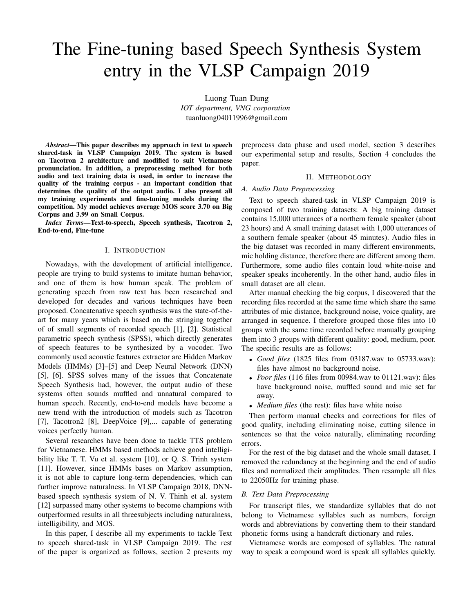# The Fine-tuning based Speech Synthesis System entry in the VLSP Campaign 2019

Luong Tuan Dung *IOT department, VNG corporation* tuanluong04011996@gmail.com

*Abstract*—This paper describes my approach in text to speech shared-task in VLSP Campaign 2019. The system is based on Tacotron 2 architecture and modified to suit Vietnamese pronunciation. In addition, a preprocessing method for both audio and text training data is used, in order to increase the quality of the training corpus - an important condition that determines the quality of the output audio. I also present all my training experiments and fine-tuning models during the competition. My model achieves average MOS score 3.70 on Big Corpus and 3.99 on Small Corpus.

*Index Terms*—Text-to-speech, Speech synthesis, Tacotron 2, End-to-end, Fine-tune

#### I. INTRODUCTION

Nowadays, with the development of artificial intelligence, people are trying to build systems to imitate human behavior, and one of them is how human speak. The problem of generating speech from raw text has been researched and developed for decades and various techniques have been proposed. Concatenative speech synthesis was the state-of-theart for many years which is based on the stringing together of of small segments of recorded speech [1], [2]. Statistical parametric speech synthesis (SPSS), which directly generates of speech features to be synthesized by a vocoder. Two commonly used acoustic features extractor are Hidden Markov Models (HMMs) [3]–[5] and Deep Neural Network (DNN) [5], [6]. SPSS solves many of the issues that Concatenate Speech Synthesis had, however, the output audio of these systems often sounds muffled and unnatural compared to human speech. Recently, end-to-end models have become a new trend with the introduction of models such as Tacotron [7], Tacotron2 [8], DeepVoice [9],... capable of generating voices perfectly human.

Several researches have been done to tackle TTS problem for Vietnamese. HMMs based methods achieve good intelligibility like T. T. Vu et al. system [10], or Q. S. Trinh system [11]. However, since HMMs bases on Markov assumption, it is not able to capture long-term dependencies, which can further improve naturalness. In VLSP Campaign 2018, DNNbased speech synthesis system of N. V. Thinh et al. system [12] surpassed many other systems to become champions with outperformed results in all threesubjects including naturalness, intelligibility, and MOS.

In this paper, I describe all my experiments to tackle Text to speech shared-task in VLSP Campaign 2019. The rest of the paper is organized as follows, section 2 presents my preprocess data phase and used model, section 3 describes our experimental setup and results, Section 4 concludes the paper.

#### II. METHODOLOGY

### *A. Audio Data Preprocessing*

Text to speech shared-task in VLSP Campaign 2019 is composed of two training datasets: A big training dataset contains 15,000 utterances of a northern female speaker (about 23 hours) and A small training dataset with 1,000 utterances of a southern female speaker (about 45 minutes). Audio files in the big dataset was recorded in many different environments, mic holding distance, therefore there are different among them. Furthermore, some audio files contain loud white-noise and speaker speaks incoherently. In the other hand, audio files in small dataset are all clean.

After manual checking the big corpus, I discovered that the recording files recorded at the same time which share the same attributes of mic distance, background noise, voice quality, are arranged in sequence. I therefore grouped those files into 10 groups with the same time recorded before manually grouping them into 3 groups with different quality: good, medium, poor. The specific results are as follows:

- *Good files* (1825 files from 03187.wav to 05733.wav): files have almost no background noise.
- *Poor files* (116 files from 00984.wav to 01121.wav): files have background noise, muffled sound and mic set far away.
- *Medium files* (the rest): files have white noise

Then perform manual checks and corrections for files of good quality, including eliminating noise, cutting silence in sentences so that the voice naturally, eliminating recording errors.

For the rest of the big dataset and the whole small dataset, I removed the redundancy at the beginning and the end of audio files and normalized their amplitudes. Then resample all files to 22050Hz for training phase.

## *B. Text Data Preprocessing*

For transcript files, we standardize syllables that do not belong to Vietnamese syllables such as numbers, foreign words and abbreviations by converting them to their standard phonetic forms using a handcraft dictionary and rules.

Vietnamese words are composed of syllables. The natural way to speak a compound word is speak all syllables quickly.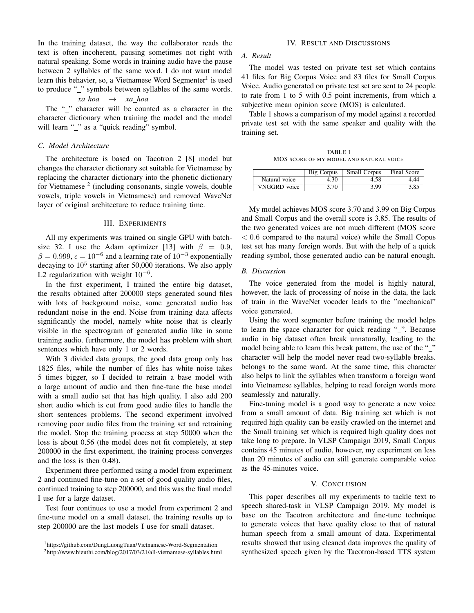In the training dataset, the way the collaborator reads the text is often incoherent, pausing sometimes not right with natural speaking. Some words in training audio have the pause between 2 syllables of the same word. I do not want model learn this behavier, so, a Vietnamese Word Segmenter<sup>1</sup> is used to produce "\_" symbols between syllables of the same words.

# *xa hoa* → *xa hoa*

The "" character will be counted as a character in the character dictionary when training the model and the model will learn "\_" as a "quick reading" symbol.

# *C. Model Architecture*

The architecture is based on Tacotron 2 [8] model but changes the character dictionary set suitable for Vietnamese by replacing the character dictionary into the phonetic dictionary for Vietnamese<sup>2</sup> (including consonants, single vowels, double vowels, triple vowels in Vietnamese) and removed WaveNet layer of original architecture to reduce training time.

### III. EXPERIMENTS

All my experiments was trained on single GPU with batchsize 32. I use the Adam optimizer [13] with  $\beta = 0.9$ ,  $\beta = 0.999$ ,  $\epsilon = 10^{-6}$  and a learning rate of  $10^{-3}$  exponentially decaying to  $10^5$  starting after 50,000 iterations. We also apply L2 regularization with weight  $10^{-6}$ .

In the first experiment, I trained the entire big dataset, the results obtained after 200000 steps generated sound files with lots of background noise, some generated audio has redundant noise in the end. Noise from training data affects significantly the model, namely white noise that is clearly visible in the spectrogram of generated audio like in some training audio. furthermore, the model has problem with short sentences which have only 1 or 2 words.

With 3 divided data groups, the good data group only has 1825 files, while the number of files has white noise takes 5 times bigger, so I decided to retrain a base model with a large amount of audio and then fine-tune the base model with a small audio set that has high quality. I also add 200 short audio which is cut from good audio files to handle the short sentences problems. The second experiment involved removing poor audio files from the training set and retraining the model. Stop the training process at step 50000 when the loss is about 0.56 (the model does not fit completely, at step 200000 in the first experiment, the training process converges and the loss is then 0.48).

Experiment three performed using a model from experiment 2 and continued fine-tune on a set of good quality audio files, continued training to step 200000, and this was the final model I use for a large dataset.

Test four continues to use a model from experiment 2 and fine-tune model on a small dataset, the training results up to step 200000 are the last models I use for small dataset.

## IV. RESULT AND DISCUSSIONS

#### *A. Result*

The model was tested on private test set which contains 41 files for Big Corpus Voice and 83 files for Small Corpus Voice. Audio generated on private test set are sent to 24 people to rate from 1 to 5 with 0.5 point increments, from which a subjective mean opinion score (MOS) is calculated.

Table 1 shows a comparison of my model against a recorded private test set with the same speaker and quality with the training set.

TABLE I MOS SCORE OF MY MODEL AND NATURAL VOICE

|               | Big Corpus | <b>Small Corpus</b> | Final Score |
|---------------|------------|---------------------|-------------|
| Natural voice | 4.30       | 4.58                |             |
| VNGGRD voice  | 3.70       | 3.99                | 3.85        |

My model achieves MOS score 3.70 and 3.99 on Big Corpus and Small Corpus and the overall score is 3.85. The results of the two generated voices are not much different (MOS score  $< 0.6$  compared to the natural voice) while the Small Copus test set has many foreign words. But with the help of a quick reading symbol, those generated audio can be natural enough.

### *B. Discussion*

The voice generated from the model is highly natural, however, the lack of processing of noise in the data, the lack of train in the WaveNet vocoder leads to the "mechanical" voice generated.

Using the word segmenter before training the model helps to learn the space character for quick reading "\_". Because audio in big dataset often break unnaturally, leading to the model being able to learn this break pattern, the use of the "\_" character will help the model never read two-syllable breaks. belongs to the same word. At the same time, this character also helps to link the syllables when transform a foreign word into Vietnamese syllables, helping to read foreign words more seamlessly and naturally.

Fine-tuning model is a good way to generate a new voice from a small amount of data. Big training set which is not required high quality can be easily crawled on the internet and the Small training set which is required high quality does not take long to prepare. In VLSP Campaign 2019, Small Corpus contains 45 minutes of audio, however, my experiment on less than 20 minutes of audio can still generate comparable voice as the 45-minutes voice.

#### V. CONCLUSION

This paper describes all my experiments to tackle text to speech shared-task in VLSP Campaign 2019. My model is base on the Tacotron architecture and fine-tune technique to generate voices that have quality close to that of natural human speech from a small amount of data. Experimental results showed that using cleaned data improves the quality of synthesized speech given by the Tacotron-based TTS system

<sup>1</sup>https://github.com/DungLuongTuan/Vietnamese-Word-Segmentation

<sup>2</sup>http://www.hieuthi.com/blog/2017/03/21/all-vietnamese-syllables.html